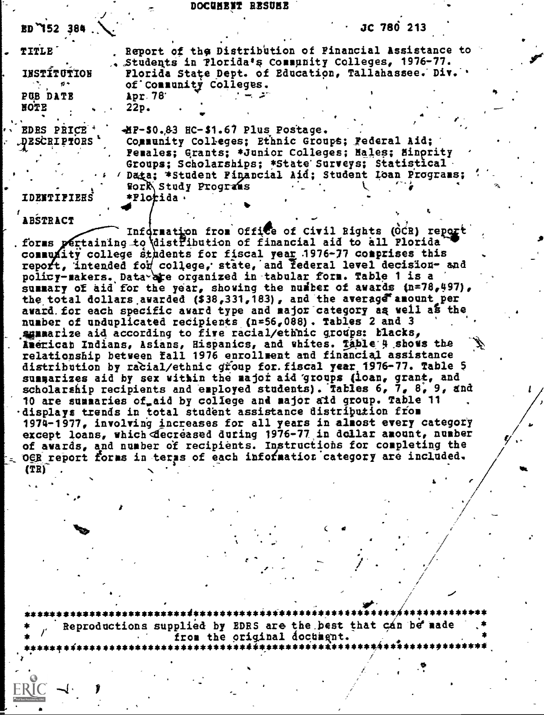#### DOCUHENT RESUEE

| $BD$ 752 384.                    | JC 780 213                                                                                                    |
|----------------------------------|---------------------------------------------------------------------------------------------------------------|
| <b>TITLE</b>                     | Report of the Distribution of Financial Assistance to<br>. Students in Plorida's Community Colleges, 1976-77. |
| <b>INSTÎTUTION</b><br>$\sigma$ - | Florida State Dept. of Education, Tallahassee. Div. '<br>of Community Colleges.                               |
| PUB DATE<br>HOTE                 | Apr. 78<br>22p.                                                                                               |
| EDES PRICE *<br>DESCRIPTORS *    | -HP-50.83 HC-\$1.67 Plus Postage.<br>Community Colleges; Ethnic Groups; Federal Aid;                          |
|                                  | Pemales; Grants; *Junior Colleges; Males; Minority<br>Groups; Scholarships; *State Surveys; Statistical -     |
| <b>IDEMTIFIEES</b>               | Data; *Student Pinancial Aid; Student Loan Programs;<br>Work Study Programs<br>*Florida.                      |
|                                  |                                                                                                               |

ABSTRACT

Information from Office of Civil Rights (OCR) report forms pertaining to distribution of financial aid to all Florida community college sthdents for fiscal year 1976-77 comprises this<br>report, intended for college, state, and federal level decision- and policy-makers. Data are organized in tabular form. Table 1 is a summary of aid for the year, showing the number of awards (n=78,497), the total dollars awarded (\$38,331,183), and the average amount per award for each specific award type and major category as well as the number of unduplicated recipients (n=56,088). Tables 2 and 3 sumarize aid according to five racial/ethnic groups: blacks, Merican Indians, Asians, Hispanics, and whites. Table 4 shows the relationship between fall 1976 enrollment and financial assistance distribution by racial/ethnic group for. fiscal year 1976-77. Table 5 summarizes aid by sex within the major aid groups (loan, grant, and scholarship recipients and employed students). Tables 6, 7, 8, 9, and 10 are summaries of aid by college and major aid group. Table 11 displays trends in total student assistance distribution from 1974-1977, involving increases for all years in almost every category except loans, which decreased during 1976-77 in dollar amount, number of awards, and number of recipients. Instructions for completing the OGR report forms in terms of each information category are included.  $(T<sub>R</sub>)$ 

Reproductions supplied by EDRS are the best that can be made from the original document.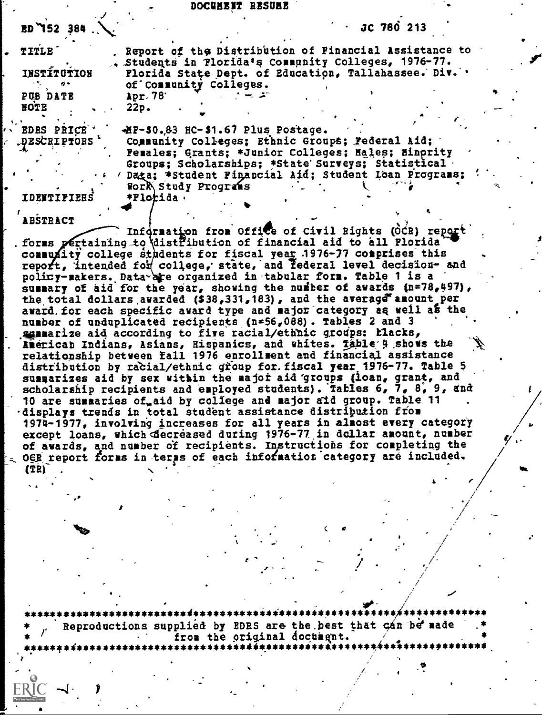#### DOCUMENT RESUME

| $BD$ $152$ 384.               | JC 780 213                                                                                                                                                                                         |  |
|-------------------------------|----------------------------------------------------------------------------------------------------------------------------------------------------------------------------------------------------|--|
| <b>TITLE</b><br>INSTÍTUTION   | Report of the Distribution of Pinancial Assistance to<br>. Students in Plorida's Community Colleges, 1976-77.<br>Florida State Dept. of Education, Tallahassee. Div. .                             |  |
| ø÷<br>PUB DATE<br><b>NOTE</b> | of Community Colleges.<br>$\Delta$ pr. 78.<br>22p.                                                                                                                                                 |  |
| EDES PRICE *<br>DESCRIPTORS   | -HP-\$0.83 HC-\$1.67 Plus Postage.<br>Community Colleges; Ethnic Groups; Federal Aid;<br>Females; Grants; *Junior Colleges; Males; Minority<br>Groups; Scholarships; *State Surveys; Statistical ( |  |
| <b>ITIFIEES</b>               | Data: *Student Pinancial Aid; Student Loan Programs;<br><b>Work Study Programs</b><br>*Plotida.                                                                                                    |  |

### ABSTRACT

Information from Office of Civil Bights (OCR) report<br>forms pertaining to distribution of financial aid to all Plorida community college students for fiscal year 1976-77 comprises this<br>report, intended for college, state, and federal level decision- and policy-makers. Data are organized in tabular form. Table 1 is a summary of aid for the year, showing the number of awards (n=78,497), the total dollars awarded (\$38,331,183), and the average amount per award for each specific award type and major category as well as the number of unduplicated recipients (n=56,088). Tables 2 and 3 sumarize aid according to five racial/ethnic groups: Łlacks, American Indians, Asians, Hispanics, and whites. Table 4 shows the relationship between fall 1976 enrollment and financial assistance distribution by racial/ethnic group for. fiscal year 1976-77. Table 5 summarizes aid by sex within the major aid groups (loan, grant, and scholarship recipients and exployed students). Tables 6, 7, 8, 9, and 10 are summaries of aid by college and major aid group. Table 11 displays trends in total student assistance distribution from 1974-1977, involving increases for all years in almost every category<br>except loans, which decreased during 1976-77 in dollar amount, number of awards, and number of recipients. Instructions for completing the OER report forms in terms of each information category are included.  $(TR)$ 

Reproductions supplied by EDRS are the best that can be made from the original document.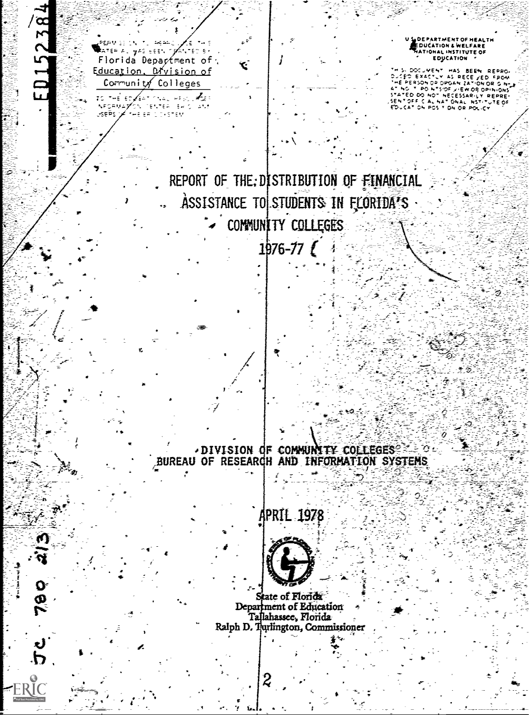ED15238 S LOEPARTMENT OF HEALTH PERMISSION TO AGAAC ∕ इ∴ ATER ALLYAS EEEN OPANTED BY Florida Department of THIS DOCUMENT HAS BEEN REPRO-<br>DUCED EXACTUM AS RECEIVED FROM<br>THE PERSON OR OPGANIZATION ORIGINAL<br>STATED DO NOT NECESSARILY REPRES-<br>STATED DO NOT NECESSARILY REPRES-<br>SENT OFFICIAL NSTITUTE OF<br>EDUCATION POSITION OR POLICY Education, Division of Community Colleges to the enforcement of the LAPORNAZON TENTER ERICI<br>USEPS JA THE ERIC DISTEN REPORT OF THE: DISTRIBUTION OF FINANCIAL ASSISTANCE TO STUDENTS IN FLORIDA'S COMMUNITY COLLEGES  $1976 - 77$ **DIVISION OF COMMUNITY COLLEGES: 20** BUREAU OF RESEARCH AND INFORMATION SYSTEMS **APRIL 1978** State of Florida Department of Education Tallahassee, Florida Ralph D. Turlington, Commissioner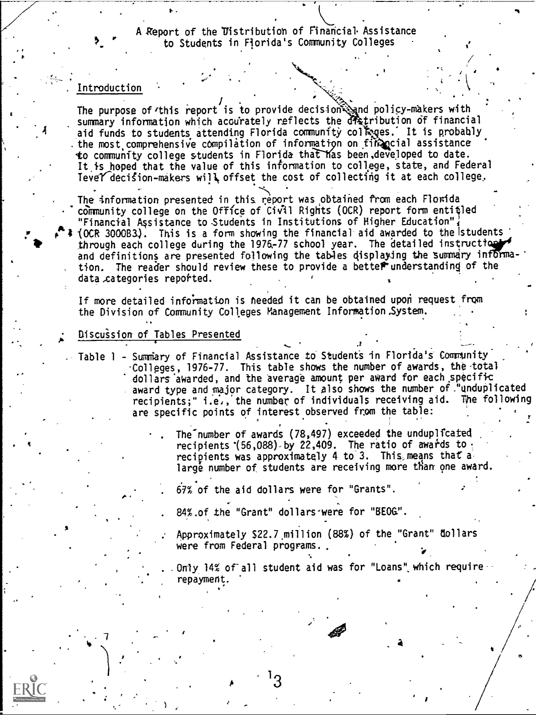A Report of the Distribution of Financial Assistance to Students in Florida's Community Colleges

## . Introduction

The purpose of this report is to provide decision  $\mathbb{Q}_1$ nd policy-makers with summary information which accurately reflects the dratribution of financial aid funds to students attending Florida community colleges. It is probably . the most comprehensive compilation of information on financial assistance to community college students in Florida that has been developed to date. It is hoped that the value of this information to college, state, and Federal Tevel decision-makers will offset the cost of collecting it at each college.

The information presented in this report was obtained from each Florida community college on the Office of Civil Rights (OCR) report form entitled "Financial Assistance to Students in Institutions of Higher Education"; r 4 (OCR 3000B3). This is a form showing the financial aid awarded to the (students through each college during the 1976-77 school year. The detailed instruction and definitions are presented following the tables displaying the summary information. The reader should review these to provide a better understanding of the data categories reported.

If more detailed information is needed it can be obtained upon request from the Division of Community Colleges Management Information ,System.

## Oiscu'ssion of Tables Presented

- Table 1 Surniery of Financial Assistance to Student's in Florida's Comunity Colleges, 1976-77. This table shows the number of awards, the total dollars awarded, and the average amount per award for each specific award type and major category. It also shows the number of "unduplicated recipients;" i.e,, the number of individuals receiving aid. The following are specific points of interest observed from the table:
	- The number of awards (78,497) exceeded the unduplicated recipients  $(56,088)$  by 22,409. The ratio of awards to. recipients was approximately 4 to 3. This, means that a large number of students are receiving more than one award.

67% of the aid dollars were for "Grants".

- 84% of the "Grant" dollars were for "BEOG".
- Approximately \$22.7 million (88%) of the "Grant" dollars were from Federal programs.

Only 14% of all student aid was for "Loans" which require repaymen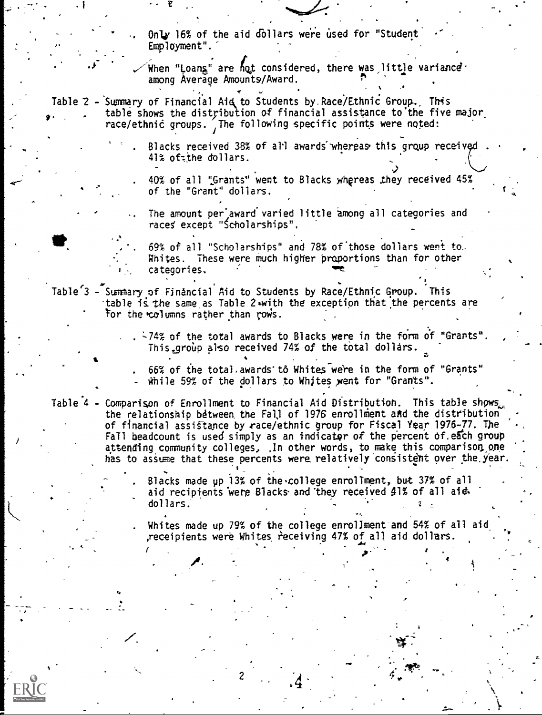Only 16% of the aid d011ars were used for "Student' Employment".

When "Loans" are hot considered, there was little variance  $\cdot$ among Average Amounts/Award.

,

Table 2 - Summary of Financial Aid to Students by Race/Ethnic Group. This table shows the distribution of financial assistance to the five major race/ethnic groups. The following specific points were noted:

> Blacks received 38% of all awards whereas this group received 41% oftthe dollars.

40% of all "Grants" went to Blacks whereas they received 45% of the "Grant" dollars.

The amount per award varied little among all categories and the controller of  $\sim$ races' except "Scholarships",

69% of all "Scholarships" and 78% of those dollars went to. Whites. These were much higher proportions than for other categories.

Table<sup>'3</sup> - Summary of Financial Aid to Students by Race/Ethnic Group. This table is the same as Table 2 with the exception that the percents are For the columns rather than rows.

> $.$   $-74\%$  of the total awards to Blacks were in the form of "Grants". This group also received 74% of the total dollars.

66% of the total, awards to Whites were in the form of "Grants" while 59% of the dollars to Whites went for "Grants".

Table 4 - Comparison of Enrollment to Financial Aid Distribution. This table shows., the relationship between the Fall of 1976 enrollment and the distribution of financial assistance by race/ethnic group for Fiscal Year 1976-77. The Fall headcount is used simply as an indicator of the percent of each group attending community colleges, .In other words, to make this comparison one has to assume that these percents were relatively consistent over the year.

> Blacks made up 13% of the .college enrollment, but 37% of all aid recipients were Blacks and they received  $41\%$  of all aid, dollars.

Whites made up 79% of the college enrollment and 54% of all aid ,receipients were Whites receiving 47% of all aid dollars.

p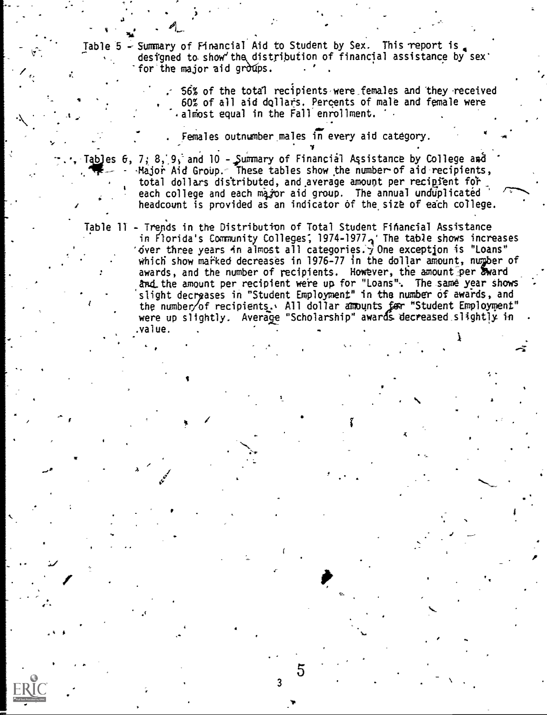Table 5  $\div$  Summary of Financial Aid to Student by Sex. This report is designed to show the distribution of financial assistance by sex' for the major aid groups.

> 56% of the total recipients were females and they received 60% of all aid dollars. Percents of male and female were .almost equal in the Fall enrollment.

Females outnumber males in every aid category.

Tables  $6$ ,  $7$ ;  $8$ ,  $9$ , and  $10$  - Summary of Financial Assistance by College and jor Aid Group. $\sim$  These tables show the number of aid recipients,  $\hspace{1cm}$ total dollars distributed, and average amount per recipient for each college and each magor aid group. The annual unduplicated headcount is provided as an indicator of the size of each college.

Table 11 - Trends in the distribution of Total Student Financial Assistance in Florida's Community Colleges; 1974-1977 $\sim$ ' The table shows increases 'over three years in almost all categories.' $\overrightarrow{y}$  One exception is "Loans" which show marked decreases in 1976-77 in the dollar amount, number of awards, and the number of recipients. However, the amount per award and the amount per recipient were up for "Loans". The same year shows slight decrpases in "Student Employment" in the number of awards, and the number/of recipients. All dollar amounts for "Student Employment" were up slightly. Average "Scholarship" awards decreased slightly in .value.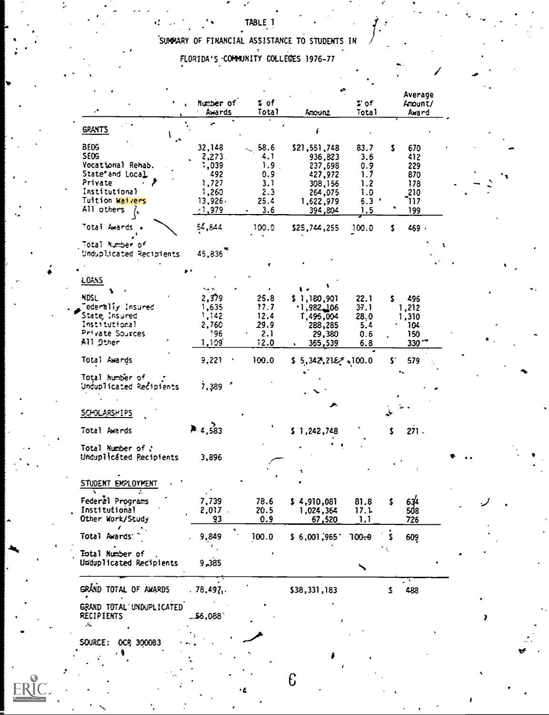# SUMPARY OF FINANCIAL ASSISTANCE TO STUDENTS IN

FLORIDA'S COMMUNITY COLLEGES 1976-77

|                                               |                           |                  |                    |              | Average          |
|-----------------------------------------------|---------------------------|------------------|--------------------|--------------|------------------|
|                                               | Number of<br>Awards       | ≸ of<br>Total    | hourl              | e e<br>Total | Amount/<br>Award |
| <b>GRANTS</b>                                 |                           |                  |                    |              |                  |
| <b>BE09</b>                                   | 32,148                    | 58.6             | \$21,551,748       | 83.7         | s.<br>670        |
| SEOS                                          | 2,273                     | 4. 1             | 936,823            | 3.6          | 412              |
| Yocational Rehab.                             | 1,039                     | 1.9 <sub>1</sub> | 237,698            | 0.9          | 229              |
| State" and Local                              | 492                       | 0.9              | 427,972            | 1.7          | 870              |
| Private                                       | 1,727                     | 3.1              | 308,156            | 1.2          | 178              |
| Institutiona}                                 | 1,260                     | 2.3              | 264,075            | 1.0          | 210              |
| Tuition Waivers                               | 13,926                    | 25.4             | 1,622,979          | 5.3          | 117              |
| All others $\lambda$                          |                           |                  |                    |              |                  |
|                                               | $-1,979$                  | 3.6              | 394,804            | 1.5          | 199              |
| Totai Awards .                                | 54,844                    | 100.0            | \$25,744,255       | 100.0        | 469 -<br>s.      |
| Total Number of                               |                           |                  |                    |              |                  |
| Unduplicated Recipients                       | 45,836                    |                  |                    |              |                  |
|                                               |                           |                  |                    |              |                  |
| <b>LOANS</b>                                  |                           |                  |                    |              |                  |
| MOSL                                          | 2,379                     |                  |                    |              |                  |
|                                               |                           | 25.8             | \$1,180,901        | 22.1         | 496<br>s.        |
| Tederaliy Insured                             | 1,635                     | 17.7             | .1,982,106         | 37.1         | 1,212            |
| State, Insured                                | 1,142                     | 12.4             | 1,495,004          | 28.0         | 1,310            |
| Institutional                                 | 2,760                     | 29.9             | 288,285            | 5.4          | 104              |
| Private Sources                               | 196                       | 2.1              | 29,380             | 0.6          | 150.             |
| All Other                                     | 1,109                     | 12.0             | 365,539            | 6.8          | 330 <sup>2</sup> |
| Total Awards                                  | 9,221                     | 100.0            | \$5,342,2127,100.0 |              | \$1<br>579       |
| Total humber of                               |                           |                  |                    |              |                  |
| Unduplicated Recipients                       | 7,389                     |                  |                    |              |                  |
|                                               |                           |                  |                    |              |                  |
| SOMX ARSHIPS                                  |                           |                  |                    |              |                  |
| Total Arends                                  | <b>A</b> $\epsilon$ , 583 |                  | \$1,242,748        |              | 271.<br>\$       |
|                                               |                           |                  |                    |              |                  |
| Total Mumber of ?                             |                           |                  |                    |              |                  |
| Unduplicated Recipients                       | 3,896                     |                  |                    |              |                  |
|                                               |                           |                  |                    |              |                  |
| STUDENT EKPLOYMENT                            |                           |                  |                    |              |                  |
| Federel Programs                              | 7,739                     | 78.6             | \$4,910,081        | 81.8         | 634<br>\$        |
| Institutional                                 | 2.017                     | 20.5             | 1.024.364          | 17.1         |                  |
| Other Work/Study                              | 93                        | 0.9              | <u>67,520</u>      | 1,1          | 726              |
|                                               |                           |                  |                    |              |                  |
| Total Awards:                                 | 9,849                     | 100.0            | \$6,001,965        | $700 - 9$    | 609<br>s         |
| Total Number of                               |                           |                  |                    |              |                  |
| Unduplicated Recipients                       | 9,385                     |                  |                    |              |                  |
|                                               |                           |                  |                    |              |                  |
| GRAND TOTAL OF AMARDS                         | .78,497.                  |                  | \$38,331,183       |              | 488<br>3.        |
| GRAND TOTAL UNDUPLICATED<br><b>RECIPIENTS</b> | 56,088`                   |                  |                    |              |                  |
| Д,                                            |                           |                  |                    |              |                  |
|                                               |                           |                  |                    |              |                  |
| SOURCE: OCR 300083                            |                           |                  |                    |              |                  |
| ¢                                             |                           |                  |                    |              |                  |
|                                               |                           |                  |                    |              |                  |

 $\epsilon$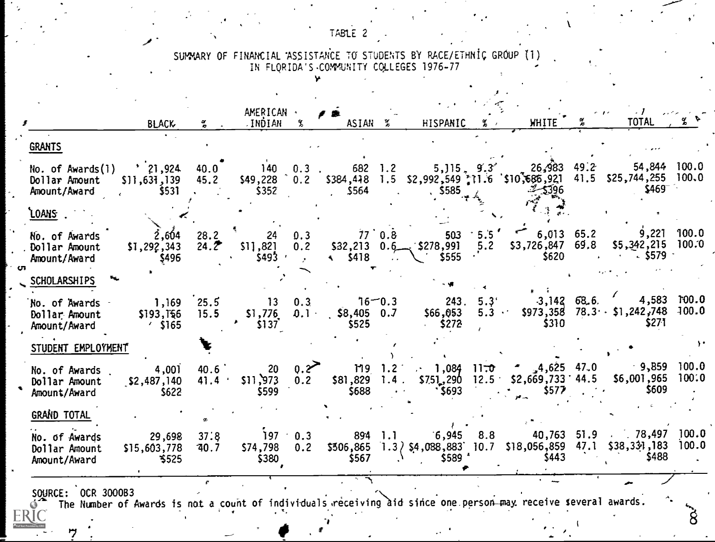TABLE 2

SUMMARY OF FINANCIAL ASSISTANCE TO STUDENTS BY RACE/ETHNIC GROUP (1)<br>IN FLORIDA'S COMMUNITY COLLEGES 1976-77

|                                                          | <b>BLACK</b>                                  | $\frac{\alpha}{\sigma}$ | AMERICAN ·<br>JNDIAN.           |                                      | ASIAN <sub>3</sub>                  |                         | HISPANIC                                   |                           | <b>WHITE</b>                                                                                                 | <b>TOTAL</b>                                                                                                                                                               |                |
|----------------------------------------------------------|-----------------------------------------------|-------------------------|---------------------------------|--------------------------------------|-------------------------------------|-------------------------|--------------------------------------------|---------------------------|--------------------------------------------------------------------------------------------------------------|----------------------------------------------------------------------------------------------------------------------------------------------------------------------------|----------------|
| <b>GRANTS</b>                                            |                                               |                         |                                 |                                      |                                     |                         |                                            |                           |                                                                                                              |                                                                                                                                                                            |                |
| $f{lo.}$ of $Awards(1)$<br>Dollar Amount<br>Amount/Award | $\frac{1}{21}$ , 924<br>\$11,631,139<br>\$531 | 40.0<br>45.2            | $$49,228 \quad 0.2$<br>\$352    |                                      | $140$ 0.3 $682$ 1.2<br>\$564        |                         | $5585 + 4$                                 |                           | 26,983 49.2<br>$-2$ -5396                                                                                    | 54,844 100.0<br>$644$ , $1.2$ 5, $115$ , $9.3$ 26, $983$ 49. 2<br>\$384, 448 1.5 \$2, $992, \frac{549}{542}$ ; 11.6 \$10, 685, 921 41.5 \$25, 744, 255 100.0<br>$$469^{-}$ |                |
| <u>`LOANS</u>                                            |                                               |                         |                                 |                                      |                                     |                         |                                            |                           |                                                                                                              |                                                                                                                                                                            |                |
| No. of Awards<br>Dollar Amount<br>Amount/Award           | $2,604$ $28.2$<br>\$1,292,343<br>\$496        | 24.2                    | \$11,821<br>\$493               | 24 0.3<br>0.2<br>$\sim$ $\mu$ $\sim$ | $77^{\circ}$ 0.8                    |                         | $$32,213$ 0.6 $$278,991$<br>$$5418$ $$555$ | 5.2                       | $503 \tcdot 5.5'$ 6,013 65.2<br>\$620                                                                        | $9,221$ 100.0<br>\$3,726,847 69.8 \$5,342,215 100.0<br>$\sim$ \$579 $\sim$                                                                                                 |                |
| <b>SCHOLARSHIPS</b>                                      |                                               |                         |                                 |                                      |                                     |                         |                                            |                           |                                                                                                              |                                                                                                                                                                            |                |
| No. of Awards -<br>Dollar Amount<br>Amount/Award         | 1,169 25.5<br>\$193,156<br>$\frac{1}{2}$ S165 | 15.5                    | $13 \t 0.3$<br>\$1,776<br>\$137 | 0.1                                  | ້າ6 $-0.3$<br>$$8,405$ 0.7<br>\$525 |                         | \$66,053<br>$-5272$                        | 243.5.3'<br>$5.3$ $\cdot$ | $-3,142$ 68.6.<br>\$310                                                                                      | 4,583 100.0<br>$$973,358$ $78.3 \cdot$ $$1,242,748$<br>\$271                                                                                                               | 100.0          |
| STUDENT EMPLOYMENT                                       |                                               |                         |                                 |                                      |                                     |                         |                                            |                           |                                                                                                              |                                                                                                                                                                            |                |
| No. of Awards.<br>Dollar Amount<br>Amount/Award          | 4,001<br>\$2,487,140<br>\$622                 | 40.6<br>41.4            | \$11,973<br>\$599               | $20 \t 0.2$<br>0.2                   | \$688                               | $\bullet$ . $\bullet$ . | $\cdot$ \$693                              |                           | 119 1.2 1,084 11 <del>.0</del> $\sim$ 4,625 47.0<br>$$81,829$ 1.4 $$751,290$ 12.5 $$2,669,733$ 44.5<br>\$577 | $-9,859$<br>\$6,001,965<br>\$609                                                                                                                                           | 100.0<br>100:0 |
| GRAND TOTAL                                              |                                               |                         |                                 |                                      |                                     |                         |                                            |                           |                                                                                                              |                                                                                                                                                                            |                |
| No. of Awards<br>Dollar Amount                           | 29,698<br>\$15,603,778<br>\$525               | 37:8<br>740.7           | $$74,798$ 0.2<br>\$380          | $197 \t0.3$                          | \$567                               |                         | 894 1.1 6,945 8.8<br>$$589$ $*$            |                           | S443                                                                                                         | 40,763 51.9 78,497 100.0<br>$$506,865$ 1.3 $\big\}$ \$4,088,883 10.7 \$18,056,859 47.1 \$38,331,183<br>\$488                                                               | 100.0          |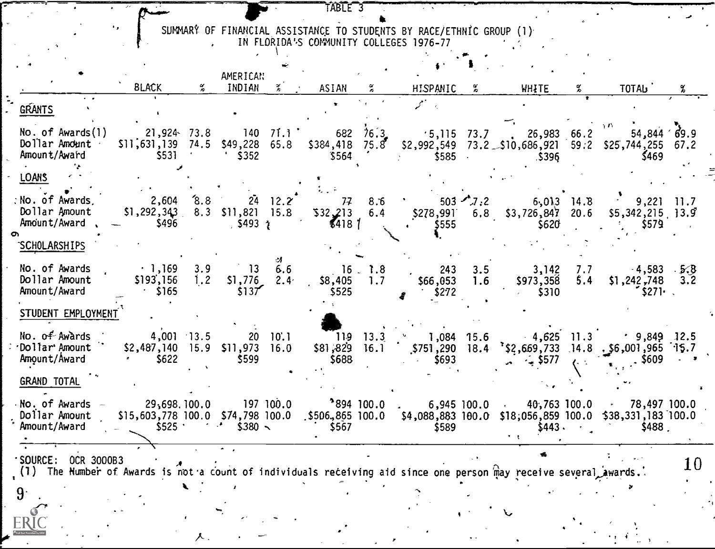SUMMARY OF FINANCIAL ASSISTANCE TO STUDENTS BY RACE/ETHNIC GROUP (1)

 $\epsilon_{\rm{2}}$  .

 $\mathbf{r}$ 

 $\mathbf{r}_{\mathbf{y}}$ 

TABLE 3

|                                                                                                                                                   | <b>BLACK</b>                                                                                                                                                                                                                                                                                                          |            | AMERICAN<br>INDIAN                       | $\mathbb{Z}$ . | <b>ASIAN</b>                          | $\tilde{z}$ | HISPANIC %                                                                     |            | <b>WHITE</b>                                                                                                                                                                          |            | TOTAL                                                                         |    |
|---------------------------------------------------------------------------------------------------------------------------------------------------|-----------------------------------------------------------------------------------------------------------------------------------------------------------------------------------------------------------------------------------------------------------------------------------------------------------------------|------------|------------------------------------------|----------------|---------------------------------------|-------------|--------------------------------------------------------------------------------|------------|---------------------------------------------------------------------------------------------------------------------------------------------------------------------------------------|------------|-------------------------------------------------------------------------------|----|
| <b>GRANTS</b>                                                                                                                                     |                                                                                                                                                                                                                                                                                                                       |            |                                          |                |                                       |             |                                                                                |            |                                                                                                                                                                                       |            |                                                                               |    |
| No. of Awards(1)<br>Dollar Amdunt<br>Amount/Award                                                                                                 | $21,924$ 73.8<br>$$11,631,139$ 74.5 $$49,228$ 65.8<br>\$531                                                                                                                                                                                                                                                           |            | $140 \quad 71.1$<br>$\frac{1}{2}$ \$352  |                | $$564$ $'$                            |             | $$585$ .                                                                       |            | 682 76.3 54,844 69.9<br>5384,418 75.8 52,992,549 73.2 510,686,921 59.2 525,744,255 67.2<br>.5396                                                                                      |            | $\gamma$ $P_{\rm{C}}$<br>\$469                                                |    |
| <b>LOANS</b>                                                                                                                                      |                                                                                                                                                                                                                                                                                                                       |            |                                          |                |                                       |             |                                                                                |            |                                                                                                                                                                                       |            |                                                                               |    |
| No. of Awards.<br>Dollar Amount<br>Amount/Award                                                                                                   | $2,604$ $8.8$ $24$ $12.2$<br>$$1,292,343$ $8.3$ $$11,821$ $15.8$<br>$-$ \$496                                                                                                                                                                                                                                         |            |                                          |                | 7778.6<br>$5493 \t{1}$                |             | $\frac{1}{2}$ 503 $\frac{1}{2}$ 2<br>\$555<br>$\bullet$ . The set of $\bullet$ |            | $6,013$ 14.8<br>$532,213$ 6.4 $5278,991$ 6.8 $53,726,847$ 20.6<br>\$620                                                                                                               |            | $9,221$ 11.7<br>$$5,342,215$ 13.9<br>\$579                                    |    |
| SCHOLARSHIPS                                                                                                                                      |                                                                                                                                                                                                                                                                                                                       |            |                                          |                |                                       |             |                                                                                |            |                                                                                                                                                                                       |            |                                                                               |    |
| No. of Awards<br>Dollar Amount<br>Amount/Award                                                                                                    | $\cdot$ 1,169<br>\$193,156<br>$\frac{1}{2}$ \$165                                                                                                                                                                                                                                                                     | 3.9<br>1.2 | $13\quad 6.6$<br>$$1,776$ $2.4$<br>\$137 |                | $$8,405$ 1.7<br>\$525                 | 16.18       | 243<br>\$66,053<br>\$272                                                       | 3.5<br>1.6 | 3,142<br>\$973,358<br>$\sim$ \$310                                                                                                                                                    | 7.7<br>5,4 | $-4,583$ $-5.8$<br>$$1,242,748$ 3.2<br>S271                                   |    |
| STUDENT EMPLOYMENT                                                                                                                                |                                                                                                                                                                                                                                                                                                                       |            |                                          |                |                                       |             |                                                                                |            |                                                                                                                                                                                       |            |                                                                               |    |
| $No.$ of $Aw\grave{a}rds$<br>'Dollar' Amount "<br>Amount/Award                                                                                    | $4,001$ 13.5<br>$$2,487,140$ 15.9 $$11,973$ 16.0<br>$\frac{1}{2}$ \$622                                                                                                                                                                                                                                               |            | 20 10.1<br>\$599                         |                | $119$ 13.3<br>$$81,829$ 16.1<br>\$688 |             | $\frac{1}{2}$ ,084 15.6<br>\$751,290 18.4<br>\$693<br><b>Contractor</b>        |            | $\frac{1}{2}$ $\frac{1}{2}$ \$577                                                                                                                                                     |            | $4,625$ 11.3 $9,849$ 12.5<br>$15.7$ (15.733 14.8 56,001,965 15.7<br>$.$ \$609 |    |
| GRAND TOTAL                                                                                                                                       |                                                                                                                                                                                                                                                                                                                       |            |                                          |                |                                       |             |                                                                                |            |                                                                                                                                                                                       |            |                                                                               |    |
| No. of Awards $-$ 29,698.100.0<br>Dollar Amount<br>Amount/Award                                                                                   | $5525$ $\frac{1}{2}$ $\frac{1}{2}$ $\frac{1}{2}$ $\frac{1}{2}$ $\frac{1}{2}$ $\frac{1}{2}$ $\frac{1}{2}$ $\frac{1}{2}$ $\frac{1}{2}$ $\frac{1}{2}$ $\frac{1}{2}$ $\frac{1}{2}$ $\frac{1}{2}$ $\frac{1}{2}$ $\frac{1}{2}$ $\frac{1}{2}$ $\frac{1}{2}$ $\frac{1}{2}$ $\frac{1}{2}$ $\frac{1}{2}$ $\frac{1}{2}$ $\frac{$ |            |                                          |                | \$567                                 |             | \$589                                                                          |            | $197\ 100.0$ $394\ 100.0$ $5,945\ 100.0$ $40,763\ 100.0$ $78,497\ 100.0$<br>\$15,603,778 100.0 \$74,798 100.0 \$506,865 100.0 \$4,088,883 100.0 \$18,056,859 100.0 \$38,331,183 100.0 | \$443.     | \$488.                                                                        |    |
| <b>SOURCE:</b><br>OCR 3000B3<br>(1) The Humber of Awards is not a count of individuals receiving aid since one person may receive several awards. |                                                                                                                                                                                                                                                                                                                       |            |                                          |                |                                       |             |                                                                                |            |                                                                                                                                                                                       |            |                                                                               | 10 |
|                                                                                                                                                   |                                                                                                                                                                                                                                                                                                                       |            |                                          |                |                                       |             |                                                                                |            |                                                                                                                                                                                       |            |                                                                               |    |
|                                                                                                                                                   |                                                                                                                                                                                                                                                                                                                       |            |                                          |                |                                       |             |                                                                                |            |                                                                                                                                                                                       |            |                                                                               |    |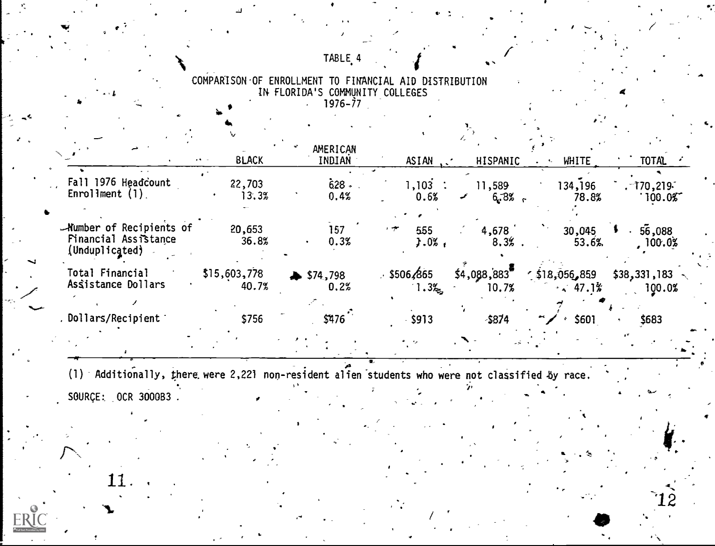## TABLE<sub>4</sub>

COMPARISON OF ENROLLMENT TO FINANCIAL AID DISTRIBUTION<br>IN FLORIDA'S COMMUNITY COLLEGES

|                                                                           | <b>BLACK</b><br>$\mathbf{z}$ , $\mathbf{S}$ , and | AMERICAN<br>INDIAN | ASIAN                            | HISPANIC             | <b>WHITE</b>                               | <b>TOTAL</b>                   |
|---------------------------------------------------------------------------|---------------------------------------------------|--------------------|----------------------------------|----------------------|--------------------------------------------|--------------------------------|
| Fall 1976 Headcount<br>$EnrolIment (1)$ .                                 | 22,703<br>13.3%                                   | 628<br>0.4%        | $1,103$ :<br>0.6%                | 11,589<br>6.8%       | 134,196<br>78.8%                           | $-170,219$<br>100.05           |
| -Number of Recipients of<br><b>Financial Assistance</b><br>(Unduplicated) | 20,653<br>36.8%                                   | 157<br>0.3%        | 555<br>$3.0\%$                   | 4,678<br>8.3%        | 30,045<br>53.6%                            | 56,088<br>100.0%               |
| <b>Total Financial</b><br>Assistance Dollars                              | \$15,603,778<br>40.7%                             | \$574,798<br>0.2%  | . \$506, 665<br>$1.3\frac{2}{3}$ | \$4,088,883<br>10.7% | $\frac{1}{2}$ \$18,056,859<br>$\sim 47.1%$ | $$38,331,183$ $\sim$<br>100.0% |
| . Dollars/Recipient                                                       | \$756                                             | \$476              | $-$ \$913                        | $-5874$              | \$601<br>$\sim$                            | \$683                          |
|                                                                           |                                                   |                    |                                  |                      |                                            |                                |

(1) Additionally, there were 2,221 non-resident alien students who were not classified by race. SOURCE: 0CR 3000B3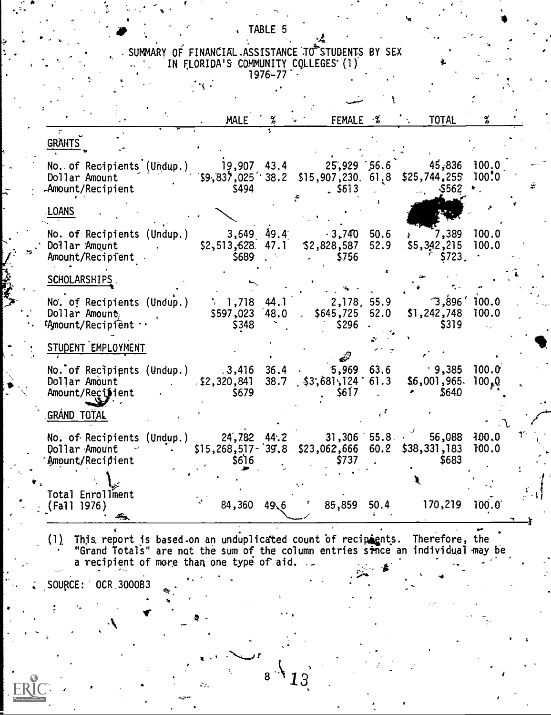SUMMARY OF FINANCIAL ASSISTANCE TO STUDENTS BY SEX<br>IN FLORIDA'S COMMUNITY COLLEGES (1)<br>1976-77

TABLE 5

 $\cdot$ 

 $\mathcal{L}(\mathbf{X})$ 

|                                                                                                                                                              | <b>MALE</b> | $\frac{\alpha}{b}$ | FEMALE %                            | TOTAL        | %              |
|--------------------------------------------------------------------------------------------------------------------------------------------------------------|-------------|--------------------|-------------------------------------|--------------|----------------|
| GRANTS                                                                                                                                                       |             |                    |                                     |              |                |
| No. of Recipients (Undup.) 19,907 43.4 25,929 56.6 45,836 100.0<br>Dollar Amount (\$9,837,025 38.2 \$15,907,230 61.8 \$25,744,255 100.0<br>-Amount/Recipient | \$494       |                    | 5613                                | <b>S562</b>  |                |
| LOANS                                                                                                                                                        |             |                    |                                     |              |                |
| No. of Recipients (Undup.) 3,649 49.4 3,740 50.6 x 7,389 100.0<br>Dollar Amount . \$2,513,628 47.1 \$2,828,587 52.9 \$5,342,215 100.0<br>Amount/Recipient    |             |                    | $\sim$ \$756                        | \$723.       |                |
| SCHOLARSHIPS.                                                                                                                                                |             |                    |                                     |              |                |
| No. of Recipients (Undup.) $\therefore$ 1,718 44.1 2,178, 55.9 3,896 100.0<br>Dollar Amount,<br>'Amount/Recipient                                            | \$348       |                    | \$296                               | \$319        |                |
| STUDENT EMPLOYMENT                                                                                                                                           |             |                    |                                     |              |                |
| No. of Recipients (Undup.) 3,416 36.4 5,969 63.6 9,385 100.0<br>Dollar Amount 42,320,841 38.7 \$3,681,124 61.3 \$6,001,965 100,0<br>Amount/Reci∌ient         | \$679       |                    | \$617                               | $\sim$ \$640 |                |
| GRÁND T <u>OTAL</u>                                                                                                                                          |             |                    |                                     |              |                |
| No. of Recipients (Undup.) 24,782 44.2 31,306 55.8 $\cdot$ 56,088<br>Dollar Amount - :: \$15,268,517-39.8 \$23,062,666 60.2 \$38,331,183<br>Amount/Recipient | \$6]6       |                    | \$737                               | \$683        | 0.001<br>100.0 |
|                                                                                                                                                              |             |                    |                                     |              |                |
| Total Enrollment<br>(Fall 1976)                                                                                                                              |             |                    | $84,360$ $49.6$ $7$ $85,859$ $50.4$ | 170,219      | 100.0          |

This report is based on an unduplicated count of recipients. Therefore, the<br>"Grand Totals" are not the sum of the column entries since an individual may be<br>a recipient of more than one type of aid.  $(1)$ 

 $8<sup>°</sup>$ 

 $\mathcal{L}_{\text{max}}$ 

13

SOURCE: 0CR 3000B3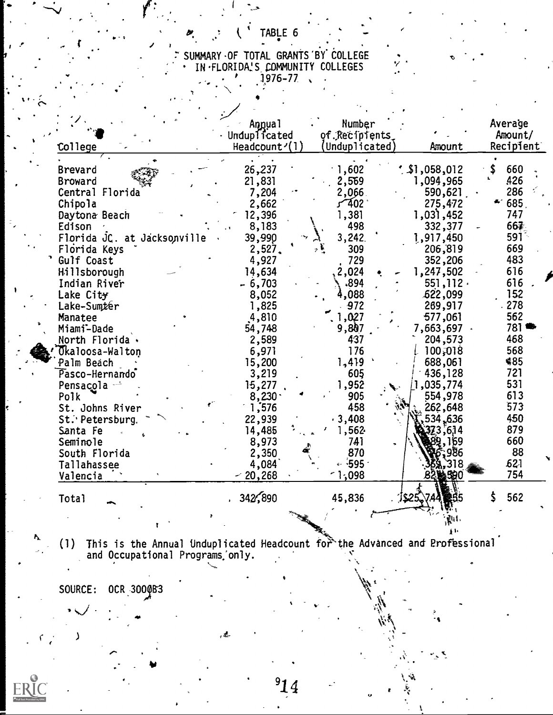# SUMMARY OF TOTAL GRANTS BY COLLEGE<br>
IN FLORIDA'S COMMUNITY COLLEGES<br>
1976-77

TABLE 6

|                             | Annual                                | Number         |              | Average   |
|-----------------------------|---------------------------------------|----------------|--------------|-----------|
|                             | Unduplicated                          | of Recipients  |              | Amount/   |
|                             | Headcount <sup><math>1</math></sup> ) | (Unduplicated) | Amount       | Recipient |
| College                     |                                       |                |              |           |
| Brevard                     | 26,237                                | 1,602          | 1,058,012    | \$<br>660 |
| Broward                     | 21,831                                | 2,569          | 1,094,965    | 426       |
| Central Florida             | 7,204                                 | 2,066          | 590,621      | 286       |
| Chipola                     | 2,662                                 | 402 ک          | 275,472      | 685       |
| Daytona Beach               | 12,396                                | 1,381          | $1,03$ , 452 | 747       |
| Edison                      | 8,183                                 | 498            | 332,377      | 667       |
| Florida JC. at Jacksonville | 39,990                                | 3,242.         | 1,917,450    | $591 -$   |
| Florida Keys                | 2,527.                                | 309            | 206,819      | 669       |
| Gulf Coast                  | 4,927                                 | 729            | 352,206      | 483       |
| Hillsborough                | 14,634                                | 2,024          | 1,247,502    | 616       |
| Indian River                | $-6,703$                              | -894           | 551, 112.    | 616       |
| Lake City                   | 8,052                                 | 4,088          | .622,099     | 152       |
| Lake-Sumter                 | 1,825                                 | 972            | 269,917      | 278       |
| Manatee                     | 4,810                                 | 1,027          | 577,061      | 562       |
| Miami-Dade                  | 54,748                                | 9,807          | 7,663,697    | 781       |
| North Florida.              | 2,589                                 | 437            | 204,573      | 468       |
| Okaloosa-Walton             | 6,971                                 | 176            | 100,018      | 568       |
| Palm Beach                  | 15,200                                | 1,419          | 688,061      | 485       |
| Pasco-Hernando              | 3,219                                 | 605            | 436,128      | 721       |
| Pensacola --                | 15,277                                | 1,952          | ,035,774     | 531       |
| Polk                        | 8,230.                                | 905            | 554,978      | 613       |
| St. Johns River             | 1,576                                 | 458            | 262,648      | 573       |
| St.' Petersburg.            | 22,939                                | $-3,408$       | 534,636      | 450       |
| Santa Fe                    | 14,485                                | 1,562          | 373.614      | 879       |
| Seminole                    | 8,973                                 | 741            |              | 660       |
| South Florida               | 2,350                                 | 870            |              | 88        |
| Tallahassee                 | 4,084                                 | $\sim 595$ .   |              | 521       |
| Valencia                    | $-20,268$                             | 1,098          | ⋭590         | 754       |
|                             |                                       |                |              |           |
| Total                       | 342,890                               | 45,836         | JS25.        | 562       |
|                             |                                       |                |              |           |
|                             |                                       |                |              |           |

ERIC

(1) This is the Annual Unduplicated Headcount for the Advanced and Professional and Occupational Programs only.

SOURCE: OCR 3000B3

١

, £.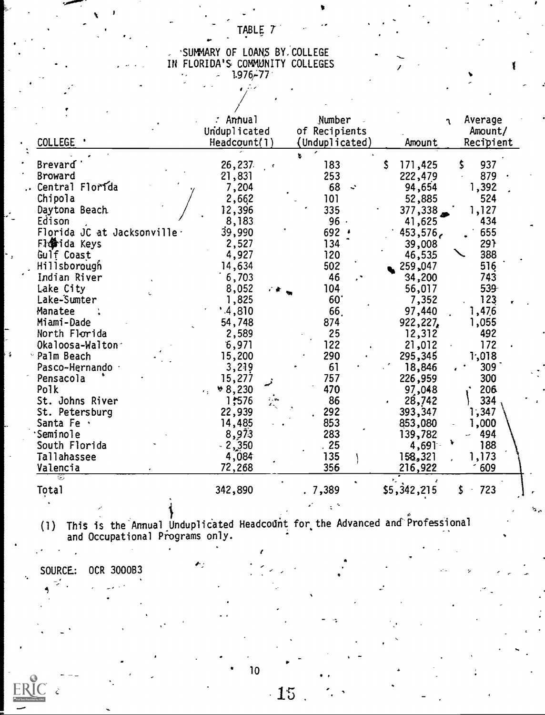## TABLE 7

## SUMMARY OF LOANS BY.COLLEGE IN FLORIDA'S COMMUNITY COLLEGES  $1.976 - 77$

|                                         | : Annual            | Number           | Average<br>٦.            |
|-----------------------------------------|---------------------|------------------|--------------------------|
|                                         | Unduplicated        | of Recipients    | Amount/                  |
| COLLEGE '                               | Headcount(1)        | (Unduplicated)   | Recipient<br>Amount      |
|                                         |                     |                  |                          |
| Brevard                                 | 26,237              | 183              | 171,425<br>937<br>٢<br>s |
| Broward                                 | 21,831              | 253              | 222,479<br>879           |
| Central Florida                         | 7,204               | 68<br>$\ddot{ }$ | 1,392<br>94,654          |
| Chipola                                 | 2,662               | 101              | 524<br>52,885            |
| Daytona Beach                           | 12,396              | 335              | ړ 377,338<br>1,127       |
| Edison                                  | 8,183               | 96               | 41,625<br>434            |
| Florida JC at Jacksonville <sup>.</sup> | 39,990              | 692              | 655<br>453,576,          |
| <b>日像ida Keys</b>                       | 2,527               | 134              | 291<br>39,008            |
| Gulf Coast                              | 4,927               | 120              | 46,535<br>388            |
| Hillsborough                            | 14,634              | 502              | 516<br>259,047           |
| Indian River                            | 6,703               | 46               | 34,200<br>743            |
| Lake City                               | 8,052               | 104              | 56,017<br>539            |
| Lake-Sumter                             | 1,825               | 60               | 123<br>7,352             |
| Manatee                                 | .4,810              | 66.              | 97,440<br>1,476          |
| Miami-Dade                              | 54,748              | 874              | 922,227<br>1,055         |
| North Florida                           | 2,589               | 25               | 12,312<br>492            |
| Okaloosa-Walton                         | 6,971               | 122              | 21,012<br>172            |
| Palm Beach                              | 15,200              | 290              | 295,345<br>1,018         |
| Pasco-Hernando ·                        | 3,219               | 61               | 18,846<br>309            |
| Pensacola                               | 15,277              | 757              | 226,959<br>300           |
| Polk                                    | $*8,230$            | 470              | 97,048<br>206            |
| St. Johns River                         | 1,576<br>ilan<br>Xi | 86               | 334<br>28,742            |
| St. Petersburg                          | 22,939              | 292              | 393,347<br>1,347         |
| Santa Fe ·                              | 14,485              | 853              | 1,000<br>853,080         |
| <b>Seminole</b>                         | 8,973               | 283              | 494<br>139,782           |
| South Florida                           | $-2,350$            | 25               | $4,69$ ]<br>188          |
| Tallahassee                             | 4,084               | 135              | 158,321<br>1,173         |
| Valencia                                | 72,268              | 356              | 216,922<br>609           |
| 97<br>Total                             | 342,890             | . 7,389          | 723<br>\$5,342,215<br>S  |
|                                         |                     |                  |                          |
|                                         |                     |                  |                          |

(1) This is the Annual Unduplicated Headcount for the Advanced and Professional and Occupational Piograms only.

4

SOURCE: OCR 3000B3

AC . Ĉ. 10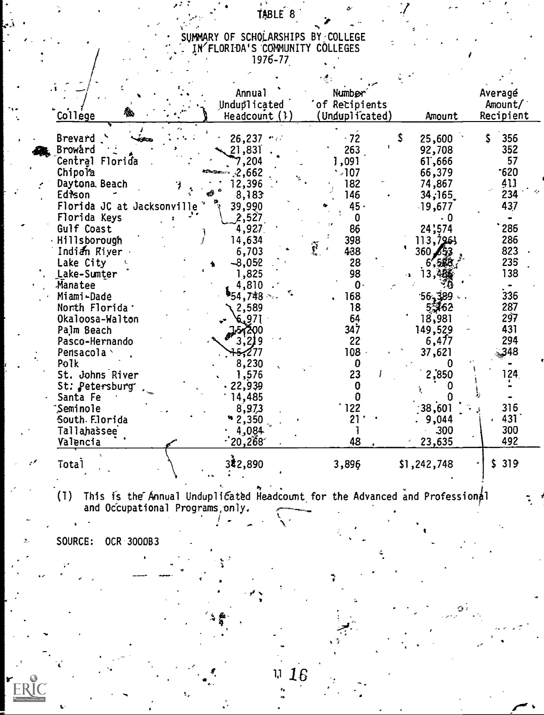## TABLE<sup>6</sup>8

## SUMMARY OF SCHOLARSHIPS BY:COLLEGE 1N'FLORIDA'S -COMMUNITY COLLEGES  $1976 - 777$

|                            | <b>Annual</b>          | Number         |   |             | Averagé   |  |
|----------------------------|------------------------|----------------|---|-------------|-----------|--|
|                            | Unduplicated           | of Recipients  |   |             | Amount/   |  |
| College                    | Headcount $(1)$        | (Unduplicated) |   | Amount      | Recipient |  |
|                            |                        |                |   |             |           |  |
| Brevard                    | $26,237$ $\cdots$      | $-72$          | Ŝ | 25,600      | 356       |  |
| Broward                    | 21,831                 | 263            |   | 92,708      | 352       |  |
| Central Florida            | 7,204                  | 1,091          |   | 61,666      | 57        |  |
| Chipola                    | 2,662                  | $-107$         |   | 66,379      | 620       |  |
| Daytona, Beach             | 12,396                 | 182            |   | 74,867      | 411       |  |
| Edison                     | 8,183                  | 146            |   | 34,165      | 234       |  |
| Florida JC at Jacksonville | 39,990                 | 45 -           |   | $-19,677$   | 437       |  |
| Florida Keys               | 2,527                  | 0              |   |             |           |  |
| Gulf Coast                 | 4,927                  | 86             |   | 24;574      | 286       |  |
| · Hillsborough             | 14,634                 | 398            |   | 113,7963    | 286       |  |
| Indian River .             | 6,703                  | Ĩ<br>438       |   | 360 ⊿5.     | 823       |  |
| Lake City                  | $-8,052$               | 28             |   |             | 235       |  |
| Lake-Sumter                | 1,825                  | 98             |   |             | 138       |  |
| Manatee                    | 4,810                  | $\mathbf{0}$   |   |             |           |  |
| Miami-Dade                 | <sup>в</sup> 54,748 ⊹. | 168            |   | 56.389      | 336       |  |
| North Florida .            | 2,589                  | 18             |   | 53762       | 287       |  |
| Okaloosa-Walton            | 6,97                   | 64             |   | 18,981      | 297       |  |
| Palm Beach                 | 51200                  | 347            |   | 149,529     | 431       |  |
| Pasco-Hernando             |                        | 22             |   | 6,477       | 294       |  |
| Pensacola \                |                        | $108 -$        |   | 37,621      | 348       |  |
| Polk                       | 8,230                  | 0              |   |             |           |  |
| St. Johns River            | 1,576                  | 23             |   | 2,850       | 124       |  |
| St: Petersburg             | 22,939                 | 0              |   |             |           |  |
| Santa Fe                   | 14,485                 | 0              |   |             |           |  |
| Seminole <sup>.</sup>      | 8,973                  | 122            |   | 38,601      | 316       |  |
| South Florida              | 2,350                  | 21             |   | 9,044       | 431       |  |
| Tallahassee                | 4,084                  |                |   | 300         | 300       |  |
| Valencia                   | 20,268                 | 48             |   | 23,635      | 492       |  |
|                            |                        |                |   |             | \$319     |  |
| <b>Total</b>               | 342,890                | 3,896          |   | \$1,242,748 |           |  |
|                            |                        |                |   |             |           |  |

(1) This is the"Annual Unduplicated Headcount for the Advanced and Profession and Occupational Programs,only.

SOURCE: OCR 300083

 $\ddot{\phantom{a}}$ 

ERIC

16  $1,1$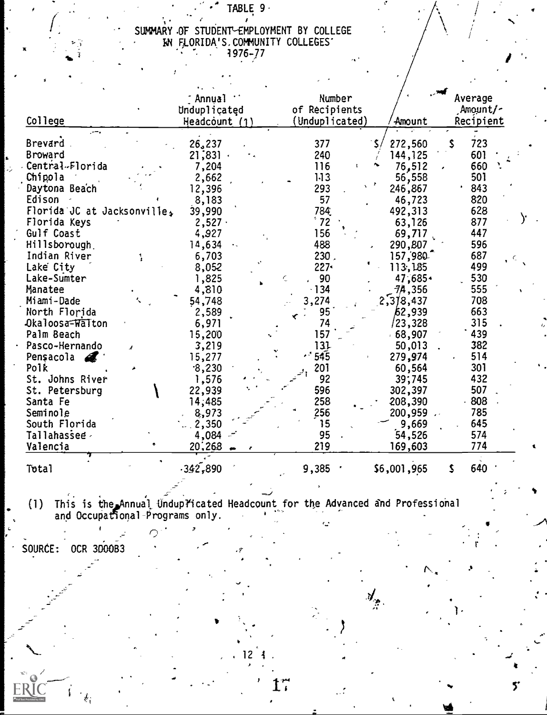# TABLE 9.

# SUMMARY OF STUDENT-EMPLOYMENT BY COLLEGE<br>
IN FLORIDA'S COMMUNITY COLLEGES

|                             | [ Annua]        | <b>Number</b>  |                | Average    |
|-----------------------------|-----------------|----------------|----------------|------------|
|                             | Unduplicated    | of Recipients  |                | Amount/-   |
| College                     | Headcount $(1)$ | (Unduplicated) | Amount         | Recipient  |
|                             |                 |                |                |            |
| Brevard.                    | 26,237          | 377            | 272,560        | \$.<br>723 |
| Broward                     | 21;831.         | 240            | 144, 125       | 601        |
| Central-Florida             | 7,204           | 116            | 76,512         | 660        |
| Chipola                     | 2,662           | 113            | 56,558         | 501        |
| Daytona Beach               | 12,396          | 293            | 246,867        | 843        |
| Edison -                    | 8,183           | 57             | 46,723         | 820        |
| Florida JC at Jacksonville, | 39,990          | 784            | 492,313        | 628        |
| Florida Keys                | $2,527 -$       | $^{\circ}$ 72  | 63,126         | 877        |
| Gulf Coast                  | 4,927           | 156            | 69,717         | 447        |
| Hillsborough                | 14,634          | 488            | 290,807        | 596        |
| Indian River<br>1           | 6,703           | 230.           | 157,980        | 687        |
| Lake City                   | 8,052           | $227 -$        | 113,185        | 499        |
| Lake-Sumter                 | 1,825           | , 90           | 47,685+        | 530        |
| Manatee                     | 4,810           | $-134$         | <b>7A, 356</b> | 555        |
| Miami-Dade                  | 54,748          | 3,274          | 2,378,437      | 708        |
| North Florida               | 2,589           | 95             | 62,939         | 663        |
| Okaloosa-Walton             | 6,971           | 74             | /23,328        | 315        |
| Palm Beach                  | 15,200          | 157            | .68,907        | 439        |
| Pasco-Hernando              | 3,219           | 131            | 50,013         | 382        |
| Pensacola &                 | 15,277          | $-545$         | 279,974        | 514        |
| Polk                        | .8,230          | 201            | 60,564         | 301        |
| St. Johns River             | 1,576           | 92             | 39;745         | 432        |
| St. Petersburg              | 22,939          | 596            | 302,397        | 507        |
| Santa Fe                    | 14;485          | 258            | 208,390        | 808        |
| Seminole                    | 8,973           | 256            | 200,959        | 785        |
| South Florida               | 2,350           | 15             | 9,669          | 645        |
| Tallahassee                 | 4,084           | 95             | 54,526         | 574        |
| Valencia                    | 20,268          | 219            | 169,603        | 774        |
|                             |                 |                |                |            |
| Total                       | .342,890        | 9,385          | \$6,001,965    | \$<br>640  |
|                             |                 |                |                |            |

(1) This is the Annual Unduplicated Headcount for the Advanced and Professional<br>and Occupational Programs only. Ō

 $12$ 

 $\mathbf{f}^{\mathbf{r}}$ 

 $\mathcal{A}_{\hat{\mathcal{X}}}$ 

SOURCE: OCR 3000B3

5.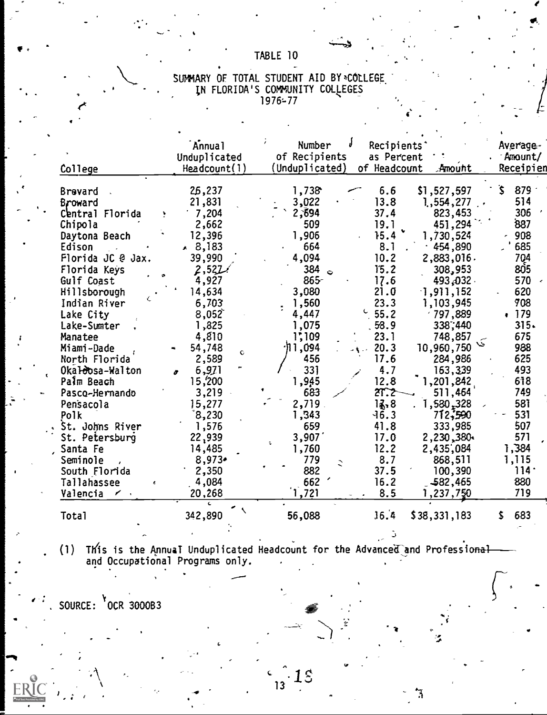## TABLE 10

|  | SUMMARY OF TOTAL STUDENT AID BY®COLLEGE |  |  |
|--|-----------------------------------------|--|--|
|  | IN FLORIDA'S COMMUNITY COLLEGES         |  |  |
|  | $1976 - 77$                             |  |  |

| College                    | <b>Annual</b><br>Unduplicated<br>Headcount(1) | Number<br>Recipients'<br>of Recipients<br>as Percent<br>(Unduplicated)<br>Amount<br>of Headcount | Average-<br>Amount/<br>Receipien |
|----------------------------|-----------------------------------------------|--------------------------------------------------------------------------------------------------|----------------------------------|
|                            | 26,237                                        | 1,738<br>6.6<br>\$1,527,597                                                                      | Ŝ.<br>879                        |
| Brevard                    | 21,831                                        | 13.8<br>3,022<br>1,554,277                                                                       | 514                              |
| Broward<br>Central Florida | 7,204                                         | 2,694<br>823,453<br>37.4                                                                         | 306                              |
| Chipola                    | 2,662                                         | 509<br>451,294<br>19.1                                                                           | 887                              |
| Daytona Beach              | 12,396                                        | 1,906<br>15.4<br>1,730,524                                                                       | 908                              |
| Edison                     | $* 8,183$                                     | 664<br>8.1<br>.454,890                                                                           | 685                              |
| Florida JC @ Jax.          | 39,990                                        | 4,094<br>10.2<br>2,883,016.                                                                      | 704                              |
| Florida Keys               | 2,522                                         | 15.2<br>384<br>308,953                                                                           | 805                              |
| Gulf Coast                 | 4,927                                         | $\bullet$<br>$865 -$<br>17.6<br>493,032.                                                         | 570                              |
| Hillsborough               | 14,634                                        | 3,080<br>21.0<br>$-1, 911, 152$                                                                  | 620                              |
| Indian River               | 6,703                                         | 23.3<br>1,560<br>1,103,945                                                                       | 708                              |
| Lake City                  | 8,052                                         | $^{\circ}$ 55.2<br>$-797,889$<br>4,447                                                           | .179                             |
| Lake-Sumter                | 1,825                                         | 1,075<br>338,440<br>58.9                                                                         | 315.                             |
| Manatee                    | 4,810                                         | 1,109<br>23.1<br>748,857                                                                         | 675                              |
| Miami-Dade                 | 54,748                                        | $\cdot$ 11,094<br>20.3<br>10,960,750                                                             | 988                              |
| North Florida              | C.<br>2,589                                   | 17.6<br>456<br>284,986                                                                           | 625                              |
| Okaloosa-Walton            | 6,971                                         | 331<br>4.7<br>163,339                                                                            | 493                              |
| Palm Beach                 | 15,200                                        | 1,945<br>12.8<br>1,201,842                                                                       | 618                              |
| Pasco-Hernando             | 3,219                                         | 2T.2<br>511,464<br>683                                                                           | 749                              |
| Pensacola                  | 15,277                                        | 2,719<br>13,8<br>1,580,328                                                                       | 581                              |
| Polk                       | 8,230                                         | 1,343<br>712,590<br>$-16.3$                                                                      | 531                              |
| St. Johns River            | 1,576                                         | 41.8<br>659<br>333,985                                                                           | 507                              |
| St. Petersburg             | 22,939                                        | 3,907<br>17.0<br>2,230,380                                                                       | 571                              |
| , Santa Fe                 | 14,485                                        | 12.2<br>2,435,084<br>1,760                                                                       | 1,384                            |
| Seminole                   | $8,973*$                                      | 8.7<br>868,511<br>779                                                                            | 1,115                            |
| South Florida              | 2,350                                         | 882<br>37.5<br>100,390                                                                           | $114 -$                          |
| Tallahassee                | 4,084                                         | 662<br>16.2<br>-582,465                                                                          | 880                              |
| Valencia<br>$\gamma$       | 20,268                                        | 1,721<br>8.5<br>1,237,750                                                                        | 719                              |
| <b>Total</b>               | 342,890                                       | 56,088<br>16.4<br>\$38,331,183                                                                   | 683<br>\$                        |

(1) This is the Annual Unduplicated Headcount for the Advanced and Professional<br>and Occupational Programs only.

Û

F

SOURCE:  $\sqrt[3]{}$ OCR 3000B3

 $1<sub>s</sub>$  $13$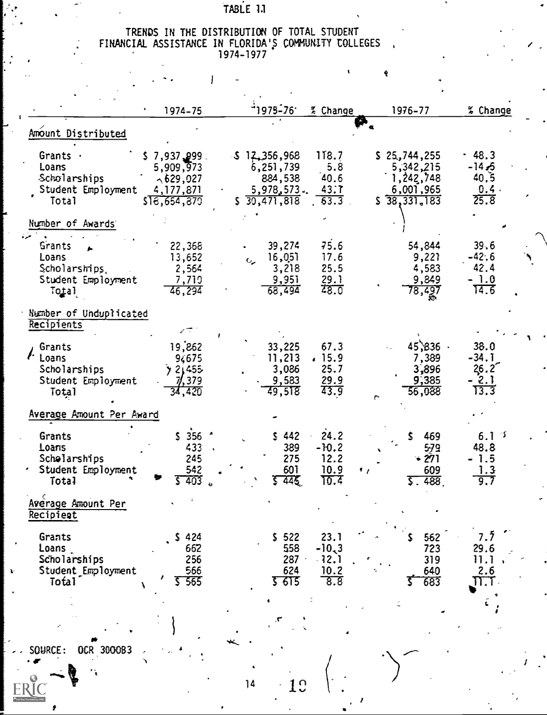## TABLE 1.1

# TRENDS IN THE DISTRIBUTION OF TOTAL STUDENT<br>FINANCIAL ASSISTANCE IN FLORIDA'S COMMUNITY COLLEGES

 $\frac{1}{2}$ 

 $\mathbf{I}$ 

ę

|                                                                                      | 1974-75                                                                    | <sup>-</sup> 1975-761                                               | % Change                                    | 1976-77                                                             | % Change                                  |
|--------------------------------------------------------------------------------------|----------------------------------------------------------------------------|---------------------------------------------------------------------|---------------------------------------------|---------------------------------------------------------------------|-------------------------------------------|
| Amount Distributed                                                                   |                                                                            |                                                                     |                                             |                                                                     |                                           |
| Grants .<br>Loans<br>Scholarships<br>Student Employment<br>Total                     | $$7,937,999$ .<br>5,909,973<br>$\sim$ 629,027<br>4,177,871<br>\$18,654,870 | 512,356,968<br>6, 251, 739<br>884,538<br>5,978,573.<br>\$30,471,818 | <b>118.7</b><br>5.8<br>40.6<br>43.7<br>63.3 | \$25,744,255<br>5,342,215<br>1,242,748<br>6,001,965<br>\$38,331,183 | $-48.3$<br>-14.5<br>40,5<br>0.4.<br>25.8  |
| Number of Awards                                                                     |                                                                            |                                                                     |                                             |                                                                     |                                           |
| <b>Grants</b><br>Loans<br>Scholarships,<br>Student Employment<br>Total               | 22,368<br>13,652<br>2,564<br>7,719<br>46,294                               | 39,274<br>16,051<br>$\epsilon$<br>3,218<br>9,951<br>68,494          | 75.6<br>17.6<br>25.5<br>29.1<br>48.0        | 54,844<br>9,22<br>4,583<br>9,849<br>78,497                          | 39.6<br>$-42.6$<br>42.4<br>$-1.0$<br>14.6 |
| Number of Unduplicated<br>Recipients                                                 |                                                                            |                                                                     |                                             |                                                                     |                                           |
| Grants<br><i>l</i> <sup>.</sup> Loans<br>Scholarships<br>Student Employment<br>Total | المجيسم<br>19,862<br>94675<br>3 21455<br>7/, 379<br>34,420                 | 33,225<br>11,213<br>3,086<br>9,583<br>49,518                        | 67.3<br>.15.9<br>25.7<br>29.9<br>43.9       | $45,836$ .<br>7,389<br>3,896<br>9,385<br>56,088                     | 38.0<br>$-34.1$<br>26.2<br>- 2.1<br>13.3  |
| Average Amount Per Award                                                             |                                                                            |                                                                     |                                             |                                                                     |                                           |
| Grants<br>Loans<br>Scholarships<br>Student Employment<br>Total                       | $$356$ $*$<br>433 .<br>245<br>542<br>$5 - 403$                             | \$442<br>389<br>275<br>601<br>इ क्कड                                | 24.2<br>$-10.2$<br>12.2<br>10.9<br>10.4     | \$469<br>579<br>$-271$<br>609<br>.,<br>5.488                        | $6.1-1$<br>48.8<br>1.5<br>1.3<br>9.7      |
| Average Amount Per<br>Recipient                                                      |                                                                            |                                                                     |                                             |                                                                     |                                           |
| Grants<br>Loans<br>Scholarships<br>Student Employment<br>Total                       | 424<br>S<br>662<br>256<br>566<br>5 565                                     | \$522<br>558<br>287<br>624<br><u>र हाड</u>                          | 23.1<br>$-10,3$<br>$-12.1$<br>10.2<br>8.8   | 562<br>723<br>319<br>640<br>683                                     | 7.7<br>29.6<br>11.1<br>2.6<br>$\Pi.1$     |
|                                                                                      |                                                                            |                                                                     |                                             |                                                                     |                                           |
| SOURCE:<br>OCR 3000B3                                                                |                                                                            |                                                                     |                                             |                                                                     |                                           |

 $\overline{14}$ 

 $\mathbf{r}$ 

**ERIC**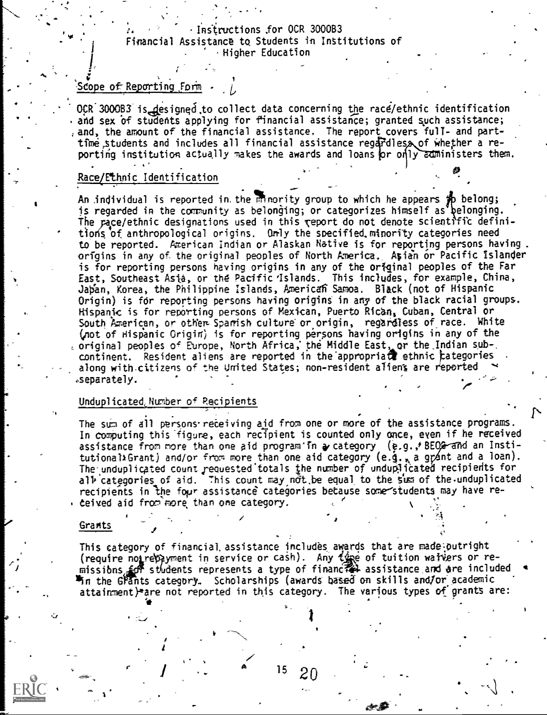## Instructions ,for OCR 3000B3 Financial Assistance to Students in institutions of .Higher Education

## Scope of Reporting  $F$ orm  $\cdot$

OCR 3000B3 is designed to collect data concerning the race/ethnic identification and sex of students applying for financial assistance; granted such assistance; and, the amount of the financial assistance. The report covers full- and parttime students and includes all financial assistance regardless of whether a reporting institution actually makes the awards and loans or only administers them.

## Race/Ethnic Identification

 $\bullet$  4  $\bullet$  4  $\bullet$ 

An individual is reported in the minority group to which he appears  $\sharp p$  belong; is regarded in the community as belonging; or categorizes himself as pelonging. The pace/ethnic designations used in this report do not denote scientific definitions of anthropological origins. Gmly the soecified.minority categories need to be reported. American Indian or Alaskan Native is for reporting persons having . origins in any of the original peoples of North America.\_ Asian or Pacific Islander is for reporting persons having origins in any of the original peoples of the Far East, Southeast Asia, or the Pacific Islands. This includes, for example, China, Japan, Korea, the Philippine Islands, American Samoa. Black (not of Hispanic Origin) is for reporting persons having origins in any of the black racial groups. Hispanjc is for reporting persons of Mexican, Puerto Rican, Cuban, Central or South American, or other Spanish culture or origin, regardless of race. White (pot of Hispanic Origin; is for reporting persons having origins in any of the original peoples of Europe, North Africa, the Middle East, or the Indian sub-. continent. Resident aliens are reported in the appropriate ethnic categories along with-citizens of the United States; non-resident alien's are reported .separately.

## Unduplicated, Number of Recipients

. . . The sum of all persons receiving aid from one or more of the assistance programs. In computing this-fidure, each recipient is counted only once, even if he received assistance from more than one aid program'in a category (e.g.,' BEOG and an Institutional»Grant) and/or from more than one aid category (e.g., a grant and a loan). The unduplicated count requested totals the number of unduplicated recipients for all categories of aid. This count may not be equal to the sum of the unduplicated recipients in the four assistance categories betause some students may have re-. ceived aid from more than one category. ..

## **Grants**

This category of financial, assistance includes awards that are made.outright (require not repayment in service or cash). Any type of tuition watVers or remissibns, for students represents a type of financ $\tau$ # assistance and are included  $\tau$ <sup>m</sup>in the Grants category, Scholarships (awards based on skills and/or academic attainment)\*are not reported in this category. The various types of grants are:

 $15 \t20$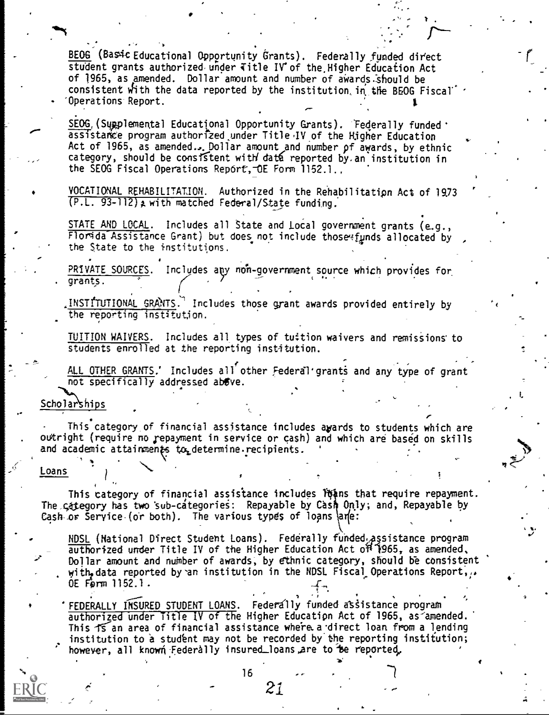BEOG (Basic Educational Opportunity Grants). Federally funded direct student grants authorized under  $\overline{\text{title}}$  IV of the Higher Education Act of 1965, as amended. Dollar amount and number of awards should be consistent with the data reported by the institution, in the BEOG Fiscal' 'Operations Report.

SEOG, (Supplemental Educational Opportunity Grants). 'Federally funded' assistance program authorized under Title IV of the Higher Education Act of 1965, as amended...Dollar amount and number of awards, by ethnic category, should be consistent with data reported by.an institution in  $\,$ the SEOG Fiscal Operations Report, OE Form 1152.1.

VOCATIONAL REHABILITATION. Authorized in the Rehabilitatipn Act of 19.73  $(P.L. 93-112)$  a with matched Federal/State funding.

STATE AND LOCAL. Includes all State and Local government grants (e.g., Florida Assistance Grant) but does not include those funds allocated by the State to the institutions.

PRIVATE SOURCES. Includes any non-government source which provides for analysis. . grants.

 $\frac{INS[1][1][1][NAL]}{NAL}$  GRANTS. Includes those grant awards provided entirely by the the reporting institution.

TUITION WAIVERS. Includes all types of tuition waivers and remissions' to students enrolled at the reporting institution.

ALL OTHER GRANTS.' Includes all other Federal grants and any type of grant  $not specified$  addressed above.

Scholarships

This category of financial assistance includes awards to students which are outright (require no repayment in service or cash) and which are based on skills and academic attainments  $\mathfrak{t}_0$  determine recipients.

### Loans

The category has two sub-categories: Repayable by Cash Only; and, Repayable by This category of financial assistance includes loans that require repayment. Cash or Service (or both). The various types of loans and:

<u>NDSL</u> (National Direct Student Loans). Federally funded assistance program authorized under Title IV of the Higher Education Act of 1965, as amended.  $\qquad \qquad$ Dollar amount and number of awards, by ethnic category, should be consistent with data reported by an institution in the NDSL Fiscal Operations Report,  $\mu$ OE Fern 1152.1.

FEDERALLY INSURED STUDENT LOANS. Federally funded assistance program  $\overline{a$ uthorized under Title IV of the Higher Education Act of 1965, as amended. This 15 an area of financial assistance where a direct loan from a lending institution to a student may not be recorded by the reporting institution; however, all known Federally insured\_loans are to be reported,

16 . . . . . . . 7